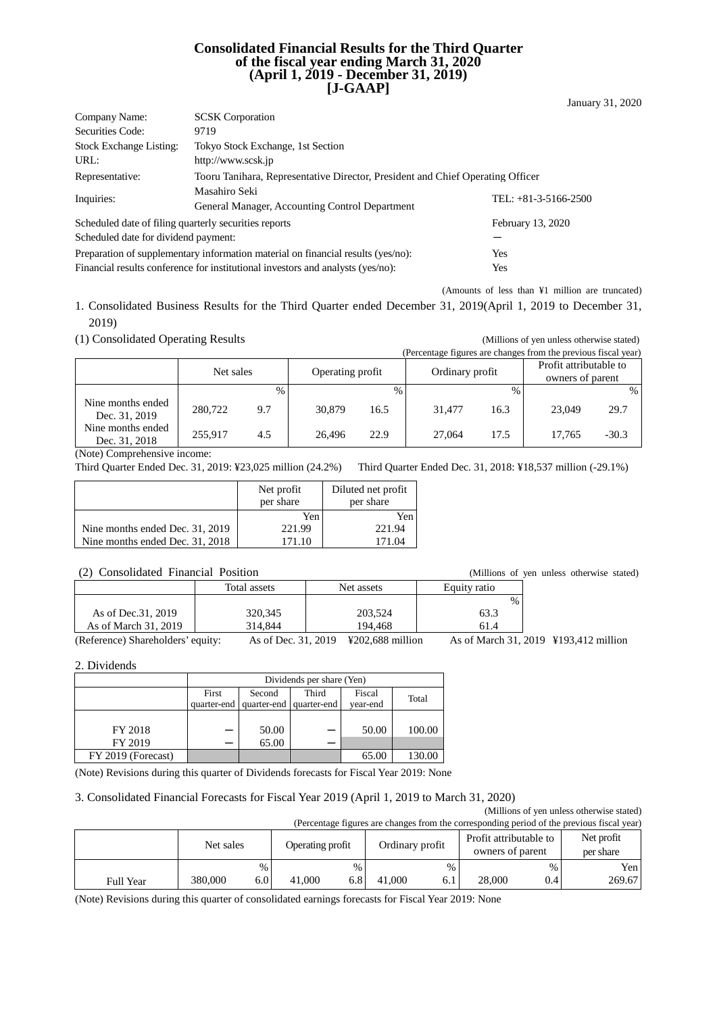#### **Consolidated Financial Results for the Third Quarter of the fiscal year ending March 31, 2020 (April 1, 2019 - December 31, 2019) [J-GAAP]**

| Company Name:                                                                           | <b>SCSK</b> Corporation                                                        |                        |  |  |  |  |
|-----------------------------------------------------------------------------------------|--------------------------------------------------------------------------------|------------------------|--|--|--|--|
| Securities Code:                                                                        | 9719                                                                           |                        |  |  |  |  |
| <b>Stock Exchange Listing:</b>                                                          | Tokyo Stock Exchange, 1st Section                                              |                        |  |  |  |  |
| URL:                                                                                    | http://www.scsk.jp                                                             |                        |  |  |  |  |
| Representative:                                                                         | Tooru Tanihara, Representative Director, President and Chief Operating Officer |                        |  |  |  |  |
| Inquiries:                                                                              | Masahiro Seki<br>General Manager, Accounting Control Department                | TEL: $+81-3-5166-2500$ |  |  |  |  |
| Scheduled date of filing quarterly securities reports                                   |                                                                                | February 13, 2020      |  |  |  |  |
| Scheduled date for dividend payment:                                                    |                                                                                |                        |  |  |  |  |
| Preparation of supplementary information material on financial results (yes/no):<br>Yes |                                                                                |                        |  |  |  |  |

Financial results conference for institutional investors and analysts (yes/no): Yes

(Amounts of less than ¥1 million are truncated)

1. Consolidated Business Results for the Third Quarter ended December 31, 2019(April 1, 2019 to December 31, 2019)

(1) Consolidated Operating Results (Millions of yen unless otherwise stated)

| (Percentage figures are changes from the previous fiscal year) |           |      |                  |      |                 |               |                                            |         |
|----------------------------------------------------------------|-----------|------|------------------|------|-----------------|---------------|--------------------------------------------|---------|
|                                                                | Net sales |      | Operating profit |      | Ordinary profit |               | Profit attributable to<br>owners of parent |         |
|                                                                |           | $\%$ |                  | $\%$ |                 | $\frac{0}{0}$ |                                            | $\%$    |
| Nine months ended<br>Dec. 31, 2019                             | 280,722   | 9.7  | 30,879           | 16.5 | 31.477          | 16.3          | 23,049                                     | 29.7    |
| Nine months ended<br>Dec. 31, 2018                             | 255,917   | 4.5  | 26.496           | 22.9 | 27,064          | 17.5          | 17.765                                     | $-30.3$ |

(Note) Comprehensive income:

Third Quarter Ended Dec. 31, 2019: ¥23,025 million (24.2%) Third Quarter Ended Dec. 31, 2018: ¥18,537 million (-29.1%)

|                                 | Net profit<br>per share | Diluted net profit<br>per share |
|---------------------------------|-------------------------|---------------------------------|
|                                 | Yen                     | Yen                             |
| Nine months ended Dec. 31, 2019 | 221.99                  | 221.94                          |
| Nine months ended Dec. 31, 2018 | 171.10                  | 171.04                          |

| (2) Consolidated Financial Position |              |                                    |              | (Millions of yen unless otherwise stated) |
|-------------------------------------|--------------|------------------------------------|--------------|-------------------------------------------|
|                                     | Total assets | Net assets                         | Equity ratio |                                           |
|                                     |              |                                    | $\%$         |                                           |
| As of Dec. 31, 2019                 | 320,345      | 203,524                            | 63.3         |                                           |
| As of March 31, 2019                | 314,844      | 194.468                            | 61.4         |                                           |
| $\sim$ $\sim$                       | $\mathbf{r}$ | $17000 \times 00$ $111$<br>21.2010 |              | $0.15 - 1.21 - 2010 - 17102 - 112$        |

(Reference) Shareholders' equity: As of Dec. 31, 2019 ¥202,688 million As of March 31, 2019 ¥193,412 million

2. Dividends

|                    |             | Dividends per share (Yen) |             |          |        |  |  |
|--------------------|-------------|---------------------------|-------------|----------|--------|--|--|
|                    | First       | Second                    | Third       | Fiscal   | Total  |  |  |
|                    | quarter-end | quarter-end               | quarter-end | year-end |        |  |  |
|                    |             |                           |             |          |        |  |  |
| FY 2018            |             | 50.00                     |             | 50.00    | 100.00 |  |  |
| FY 2019            |             | 65.00                     |             |          |        |  |  |
| FY 2019 (Forecast) |             |                           |             | 65.00    | 130.00 |  |  |

(Note) Revisions during this quarter of Dividends forecasts for Fiscal Year 2019: None

#### 3. Consolidated Financial Forecasts for Fiscal Year 2019 (April 1, 2019 to March 31, 2020)

(Millions of yen unless otherwise stated)<br>
ponding period of the previous fiscal year)

| (Percentage figures are changes from the corresponding period of the previous fiscal year) |           |      |        |                 |        |                                                                |        |      |                         |
|--------------------------------------------------------------------------------------------|-----------|------|--------|-----------------|--------|----------------------------------------------------------------|--------|------|-------------------------|
|                                                                                            | Net sales |      |        | Ordinary profit |        | Profit attributable to<br>Operating profit<br>owners of parent |        |      | Net profit<br>per share |
|                                                                                            |           | $\%$ |        |                 |        | $\%$                                                           |        | $\%$ | Yen                     |
| <b>Full Year</b>                                                                           | 380,000   | 6.0  | 41,000 |                 | 41,000 |                                                                | 28,000 | 0.4  | 269.67                  |

(Note) Revisions during this quarter of consolidated earnings forecasts for Fiscal Year 2019: None

January 31, 2020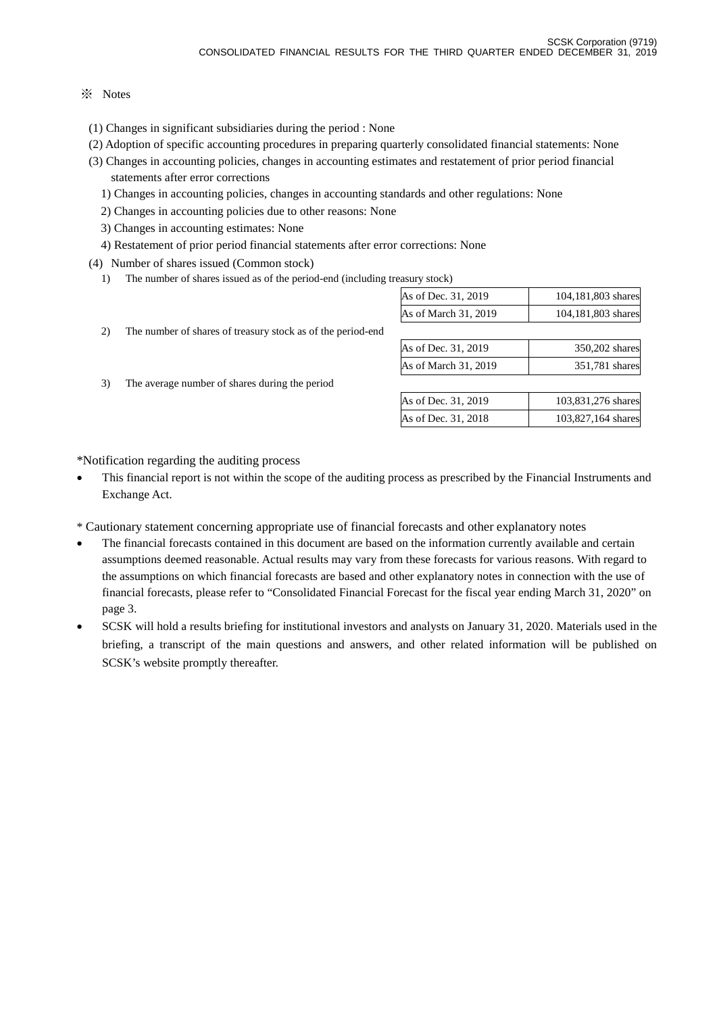#### ※ Notes

- (1) Changes in significant subsidiaries during the period : None
- (2) Adoption of specific accounting procedures in preparing quarterly consolidated financial statements: None
- (3) Changes in accounting policies, changes in accounting estimates and restatement of prior period financial statements after error corrections
	- 1) Changes in accounting policies, changes in accounting standards and other regulations: None
	- 2) Changes in accounting policies due to other reasons: None

2) The number of shares of treasury stock as of the period-end

3) The average number of shares during the period

- 3) Changes in accounting estimates: None
- 4) Restatement of prior period financial statements after error corrections: None
- (4) Number of shares issued (Common stock)
	- 1) The number of shares issued as of the period-end (including treasury stock)

| $\cdots$             |                    |
|----------------------|--------------------|
| As of Dec. 31, 2019  | 104,181,803 shares |
| As of March 31, 2019 | 104,181,803 shares |
|                      |                    |
| As of Dec. 31, 2019  | 350,202 shares     |
| As of March 31, 2019 | 351,781 shares     |

| As of Dec. 31, 2019 | 103,831,276 shares |
|---------------------|--------------------|
| As of Dec. 31, 2018 | 103,827,164 shares |

\*Notification regarding the auditing process

- This financial report is not within the scope of the auditing process as prescribed by the Financial Instruments and Exchange Act.
- \* Cautionary statement concerning appropriate use of financial forecasts and other explanatory notes
- The financial forecasts contained in this document are based on the information currently available and certain assumptions deemed reasonable. Actual results may vary from these forecasts for various reasons. With regard to the assumptions on which financial forecasts are based and other explanatory notes in connection with the use of financial forecasts, please refer to "Consolidated Financial Forecast for the fiscal year ending March 31, 2020" on page 3.
- SCSK will hold a results briefing for institutional investors and analysts on January 31, 2020. Materials used in the briefing, a transcript of the main questions and answers, and other related information will be published on SCSK's website promptly thereafter.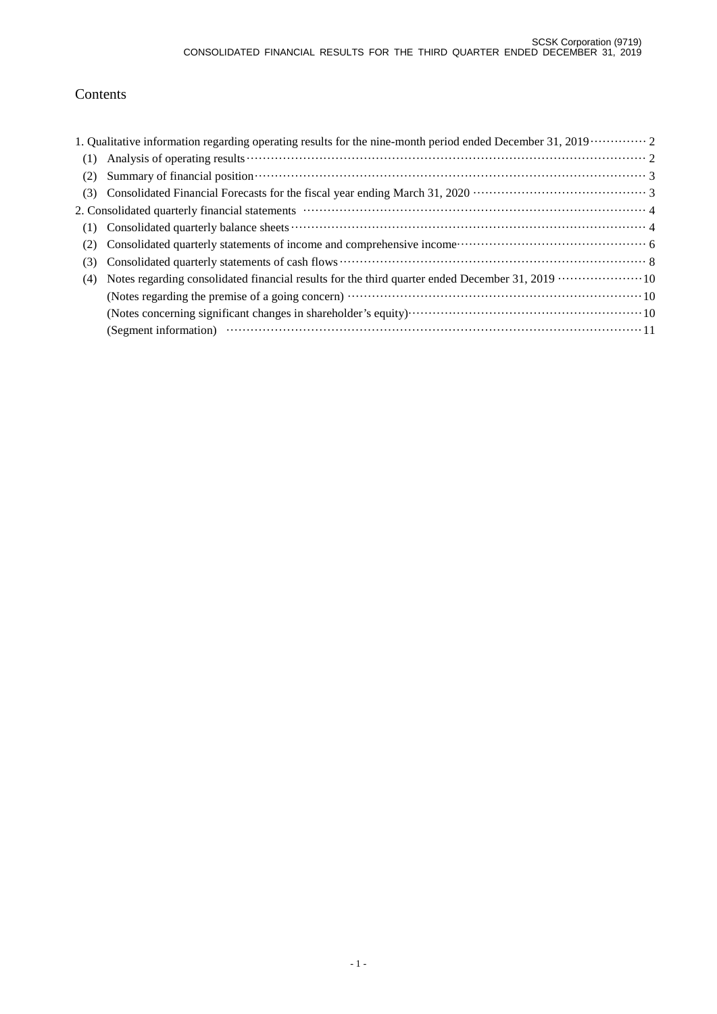## Contents

|     | 1. Qualitative information regarding operating results for the nine-month period ended December 31, 2019 · · · · · · · · · · 2 |
|-----|--------------------------------------------------------------------------------------------------------------------------------|
| (1) |                                                                                                                                |
| (2) | Summary of financial position contains and the contact of the state of the state of financial position contact 3               |
| (3) |                                                                                                                                |
|     |                                                                                                                                |
| (1) |                                                                                                                                |
| (2) |                                                                                                                                |
| (3) |                                                                                                                                |
| (4) |                                                                                                                                |
|     |                                                                                                                                |
|     |                                                                                                                                |
|     |                                                                                                                                |
|     |                                                                                                                                |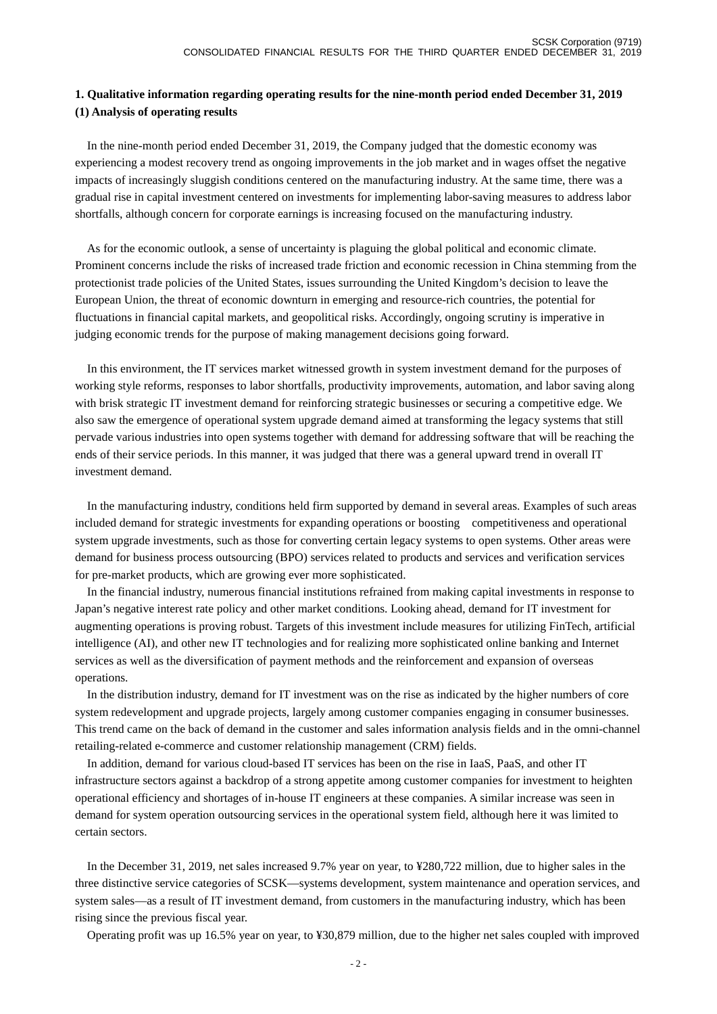#### **1. Qualitative information regarding operating results for the nine-month period ended December 31, 2019 (1) Analysis of operating results**

In the nine-month period ended December 31, 2019, the Company judged that the domestic economy was experiencing a modest recovery trend as ongoing improvements in the job market and in wages offset the negative impacts of increasingly sluggish conditions centered on the manufacturing industry. At the same time, there was a gradual rise in capital investment centered on investments for implementing labor-saving measures to address labor shortfalls, although concern for corporate earnings is increasing focused on the manufacturing industry.

As for the economic outlook, a sense of uncertainty is plaguing the global political and economic climate. Prominent concerns include the risks of increased trade friction and economic recession in China stemming from the protectionist trade policies of the United States, issues surrounding the United Kingdom's decision to leave the European Union, the threat of economic downturn in emerging and resource-rich countries, the potential for fluctuations in financial capital markets, and geopolitical risks. Accordingly, ongoing scrutiny is imperative in judging economic trends for the purpose of making management decisions going forward.

In this environment, the IT services market witnessed growth in system investment demand for the purposes of working style reforms, responses to labor shortfalls, productivity improvements, automation, and labor saving along with brisk strategic IT investment demand for reinforcing strategic businesses or securing a competitive edge. We also saw the emergence of operational system upgrade demand aimed at transforming the legacy systems that still pervade various industries into open systems together with demand for addressing software that will be reaching the ends of their service periods. In this manner, it was judged that there was a general upward trend in overall IT investment demand.

In the manufacturing industry, conditions held firm supported by demand in several areas. Examples of such areas included demand for strategic investments for expanding operations or boosting competitiveness and operational system upgrade investments, such as those for converting certain legacy systems to open systems. Other areas were demand for business process outsourcing (BPO) services related to products and services and verification services for pre-market products, which are growing ever more sophisticated.

In the financial industry, numerous financial institutions refrained from making capital investments in response to Japan's negative interest rate policy and other market conditions. Looking ahead, demand for IT investment for augmenting operations is proving robust. Targets of this investment include measures for utilizing FinTech, artificial intelligence (AI), and other new IT technologies and for realizing more sophisticated online banking and Internet services as well as the diversification of payment methods and the reinforcement and expansion of overseas operations.

In the distribution industry, demand for IT investment was on the rise as indicated by the higher numbers of core system redevelopment and upgrade projects, largely among customer companies engaging in consumer businesses. This trend came on the back of demand in the customer and sales information analysis fields and in the omni-channel retailing-related e-commerce and customer relationship management (CRM) fields.

In addition, demand for various cloud-based IT services has been on the rise in IaaS, PaaS, and other IT infrastructure sectors against a backdrop of a strong appetite among customer companies for investment to heighten operational efficiency and shortages of in-house IT engineers at these companies. A similar increase was seen in demand for system operation outsourcing services in the operational system field, although here it was limited to certain sectors.

In the December 31, 2019, net sales increased 9.7% year on year, to ¥280,722 million, due to higher sales in the three distinctive service categories of SCSK—systems development, system maintenance and operation services, and system sales—as a result of IT investment demand, from customers in the manufacturing industry, which has been rising since the previous fiscal year.

Operating profit was up 16.5% year on year, to ¥30,879 million, due to the higher net sales coupled with improved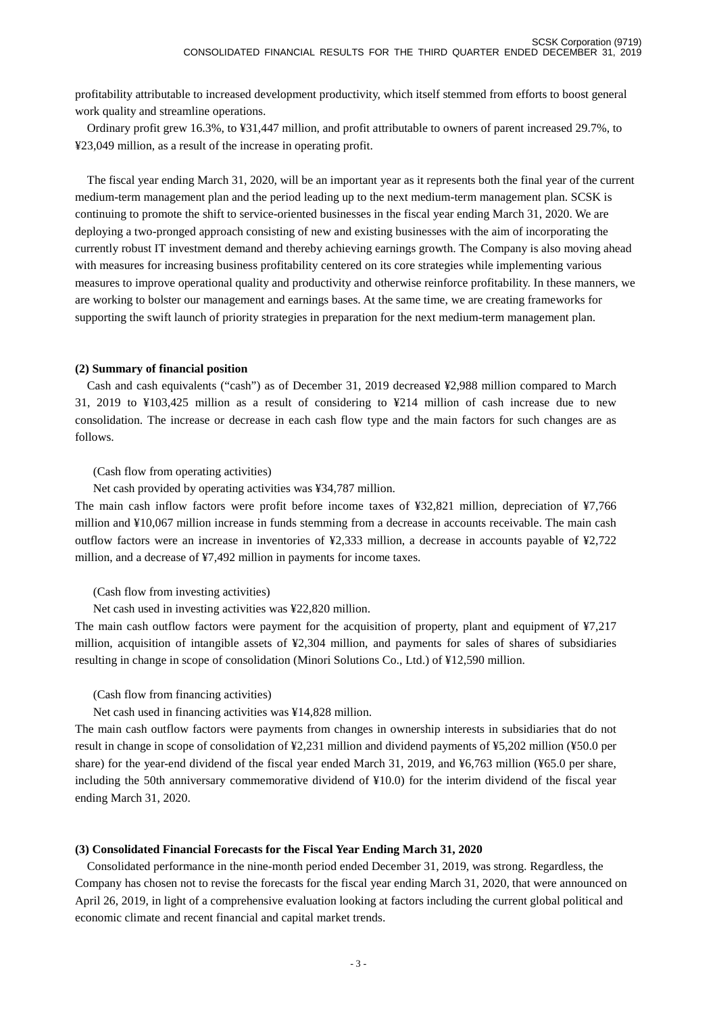profitability attributable to increased development productivity, which itself stemmed from efforts to boost general work quality and streamline operations.

Ordinary profit grew 16.3%, to ¥31,447 million, and profit attributable to owners of parent increased 29.7%, to ¥23,049 million, as a result of the increase in operating profit.

The fiscal year ending March 31, 2020, will be an important year as it represents both the final year of the current medium-term management plan and the period leading up to the next medium-term management plan. SCSK is continuing to promote the shift to service-oriented businesses in the fiscal year ending March 31, 2020. We are deploying a two-pronged approach consisting of new and existing businesses with the aim of incorporating the currently robust IT investment demand and thereby achieving earnings growth. The Company is also moving ahead with measures for increasing business profitability centered on its core strategies while implementing various measures to improve operational quality and productivity and otherwise reinforce profitability. In these manners, we are working to bolster our management and earnings bases. At the same time, we are creating frameworks for supporting the swift launch of priority strategies in preparation for the next medium-term management plan.

#### **(2) Summary of financial position**

Cash and cash equivalents ("cash") as of December 31, 2019 decreased ¥2,988 million compared to March 31, 2019 to ¥103,425 million as a result of considering to ¥214 million of cash increase due to new consolidation. The increase or decrease in each cash flow type and the main factors for such changes are as follows.

(Cash flow from operating activities)

Net cash provided by operating activities was ¥34,787 million.

The main cash inflow factors were profit before income taxes of ¥32,821 million, depreciation of ¥7,766 million and ¥10,067 million increase in funds stemming from a decrease in accounts receivable. The main cash outflow factors were an increase in inventories of ¥2,333 million, a decrease in accounts payable of ¥2,722 million, and a decrease of ¥7,492 million in payments for income taxes.

(Cash flow from investing activities)

Net cash used in investing activities was ¥22,820 million.

The main cash outflow factors were payment for the acquisition of property, plant and equipment of ¥7,217 million, acquisition of intangible assets of ¥2,304 million, and payments for sales of shares of subsidiaries resulting in change in scope of consolidation (Minori Solutions Co., Ltd.) of ¥12,590 million.

(Cash flow from financing activities)

Net cash used in financing activities was ¥14,828 million.

The main cash outflow factors were payments from changes in ownership interests in subsidiaries that do not result in change in scope of consolidation of ¥2,231 million and dividend payments of ¥5,202 million (¥50.0 per share) for the year-end dividend of the fiscal year ended March 31, 2019, and ¥6,763 million (¥65.0 per share, including the 50th anniversary commemorative dividend of ¥10.0) for the interim dividend of the fiscal year ending March 31, 2020.

#### **(3) Consolidated Financial Forecasts for the Fiscal Year Ending March 31, 2020**

Consolidated performance in the nine-month period ended December 31, 2019, was strong. Regardless, the Company has chosen not to revise the forecasts for the fiscal year ending March 31, 2020, that were announced on April 26, 2019, in light of a comprehensive evaluation looking at factors including the current global political and economic climate and recent financial and capital market trends.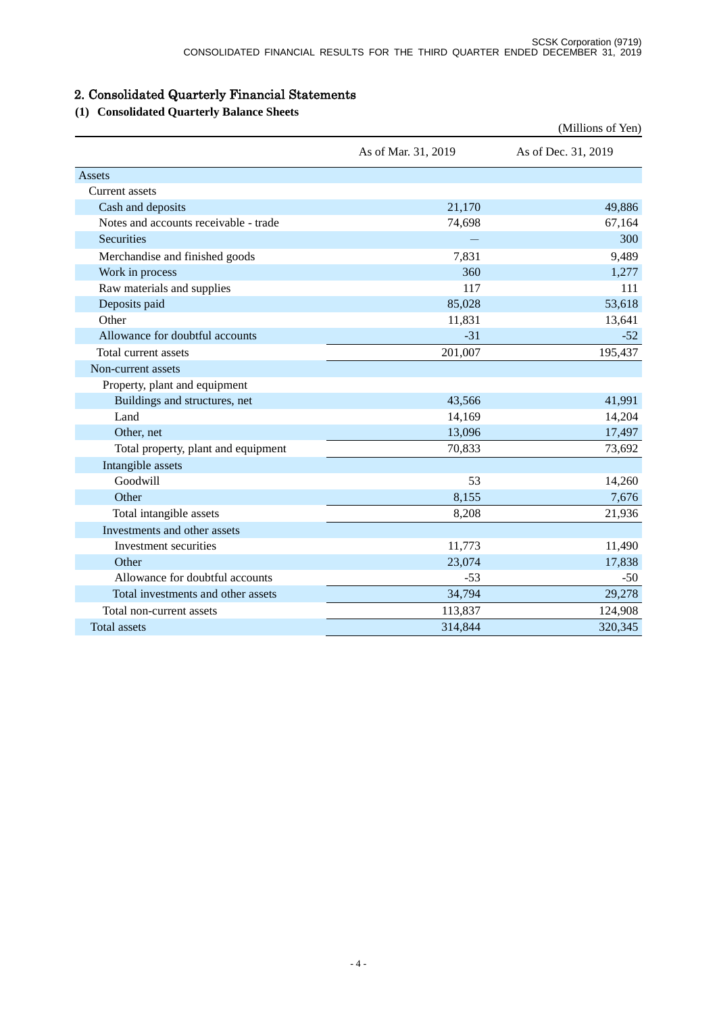# 2. Consolidated Quarterly Financial Statements

# **(1) Consolidated Quarterly Balance Sheets**

|                                       |                     | (Millions of Yen)   |
|---------------------------------------|---------------------|---------------------|
|                                       | As of Mar. 31, 2019 | As of Dec. 31, 2019 |
| Assets                                |                     |                     |
| <b>Current assets</b>                 |                     |                     |
| Cash and deposits                     | 21,170              | 49,886              |
| Notes and accounts receivable - trade | 74,698              | 67,164              |
| <b>Securities</b>                     |                     | 300                 |
| Merchandise and finished goods        | 7,831               | 9,489               |
| Work in process                       | 360                 | 1,277               |
| Raw materials and supplies            | 117                 | 111                 |
| Deposits paid                         | 85,028              | 53,618              |
| Other                                 | 11,831              | 13,641              |
| Allowance for doubtful accounts       | $-31$               | $-52$               |
| Total current assets                  | 201,007             | 195,437             |
| Non-current assets                    |                     |                     |
| Property, plant and equipment         |                     |                     |
| Buildings and structures, net         | 43,566              | 41,991              |
| Land                                  | 14,169              | 14,204              |
| Other, net                            | 13,096              | 17,497              |
| Total property, plant and equipment   | 70,833              | 73,692              |
| Intangible assets                     |                     |                     |
| Goodwill                              | 53                  | 14,260              |
| Other                                 | 8,155               | 7,676               |
| Total intangible assets               | 8,208               | 21,936              |
| Investments and other assets          |                     |                     |
| Investment securities                 | 11,773              | 11,490              |
| Other                                 | 23,074              | 17,838              |
| Allowance for doubtful accounts       | $-53$               | $-50$               |
| Total investments and other assets    | 34,794              | 29,278              |
| Total non-current assets              | 113,837             | 124,908             |
| <b>Total assets</b>                   | 314,844             | 320,345             |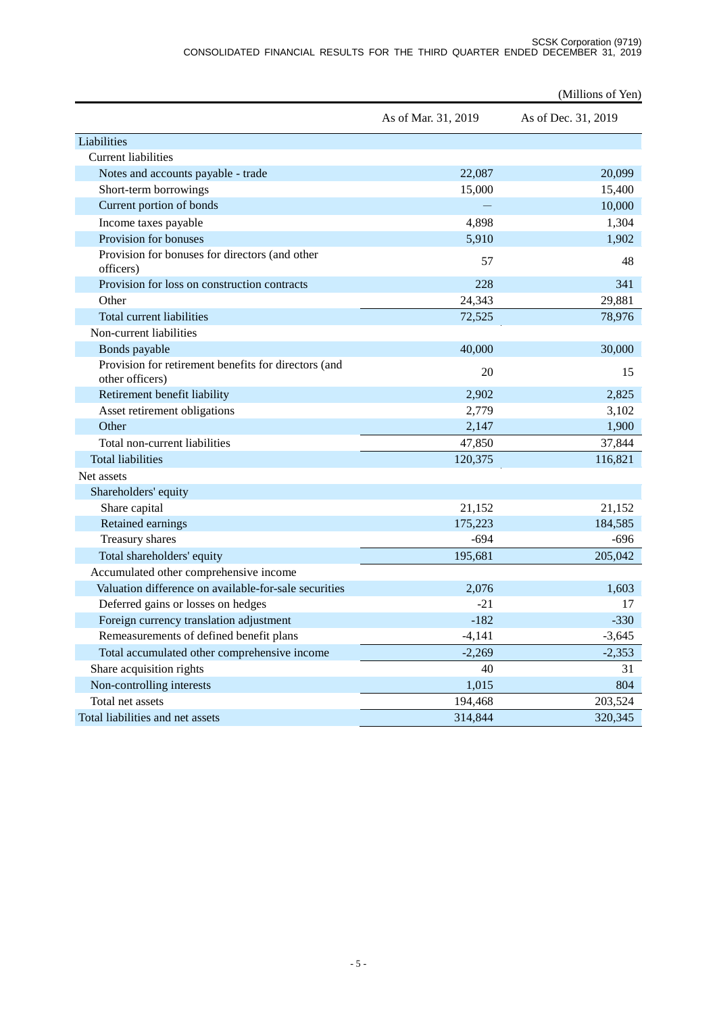|                                                                         |                     | (Millions of Yen)   |
|-------------------------------------------------------------------------|---------------------|---------------------|
|                                                                         | As of Mar. 31, 2019 | As of Dec. 31, 2019 |
| Liabilities                                                             |                     |                     |
| <b>Current liabilities</b>                                              |                     |                     |
| Notes and accounts payable - trade                                      | 22,087              | 20,099              |
| Short-term borrowings                                                   | 15,000              | 15,400              |
| Current portion of bonds                                                |                     | 10,000              |
| Income taxes payable                                                    | 4,898               | 1,304               |
| Provision for bonuses                                                   | 5,910               | 1,902               |
| Provision for bonuses for directors (and other<br>officers)             | 57                  | 48                  |
| Provision for loss on construction contracts                            | 228                 | 341                 |
| Other                                                                   | 24,343              | 29,881              |
| Total current liabilities                                               | 72,525              | 78,976              |
| Non-current liabilities                                                 |                     |                     |
| Bonds payable                                                           | 40,000              | 30,000              |
| Provision for retirement benefits for directors (and<br>other officers) | 20                  | 15                  |
| Retirement benefit liability                                            | 2,902               | 2,825               |
| Asset retirement obligations                                            | 2,779               | 3,102               |
| Other                                                                   | 2,147               | 1,900               |
| Total non-current liabilities                                           | 47,850              | 37,844              |
| <b>Total liabilities</b>                                                | 120,375             | 116,821             |
| Net assets                                                              |                     |                     |
| Shareholders' equity                                                    |                     |                     |
| Share capital                                                           | 21,152              | 21,152              |
| Retained earnings                                                       | 175,223             | 184,585             |
| Treasury shares                                                         | $-694$              | $-696$              |
| Total shareholders' equity                                              | 195,681             | 205,042             |
| Accumulated other comprehensive income                                  |                     |                     |
| Valuation difference on available-for-sale securities                   | 2,076               | 1,603               |
| Deferred gains or losses on hedges                                      | $-21$               | 17                  |
| Foreign currency translation adjustment                                 | $-182$              | $-330$              |
| Remeasurements of defined benefit plans                                 | $-4,141$            | $-3,645$            |
| Total accumulated other comprehensive income                            | $-2,269$            | $-2,353$            |
| Share acquisition rights                                                | 40                  | 31                  |
| Non-controlling interests                                               | 1,015               | 804                 |
| Total net assets                                                        | 194,468             | 203,524             |
| Total liabilities and net assets                                        | 314,844             | 320,345             |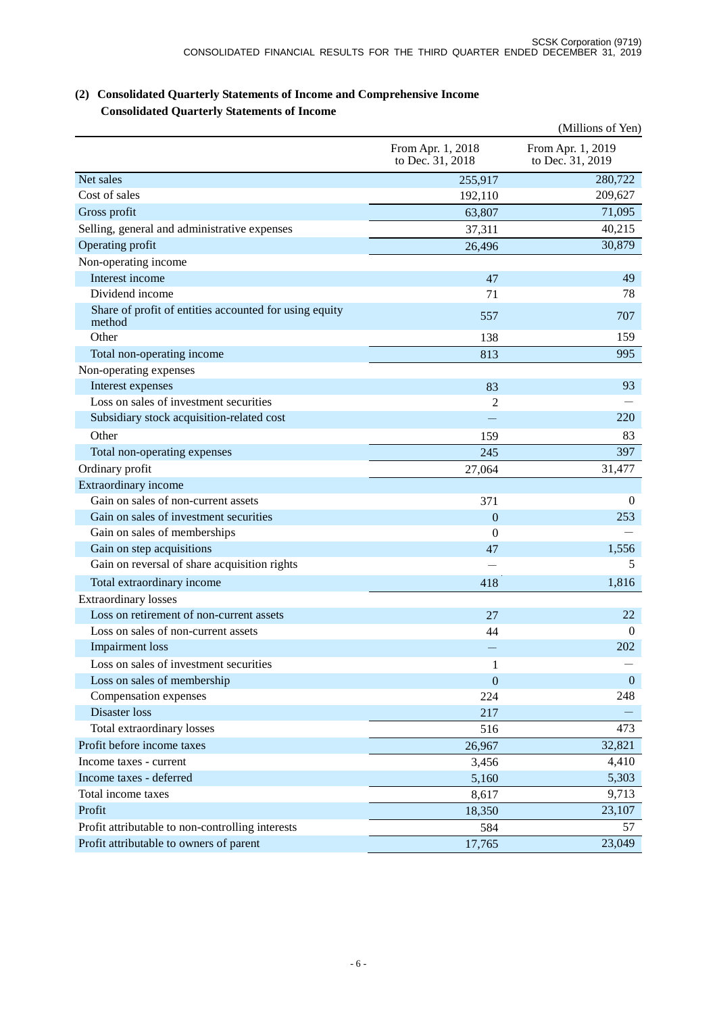|                                                                  |                                       | (Millions of Yen)                     |
|------------------------------------------------------------------|---------------------------------------|---------------------------------------|
|                                                                  | From Apr. 1, 2018<br>to Dec. 31, 2018 | From Apr. 1, 2019<br>to Dec. 31, 2019 |
| Net sales                                                        | 255,917                               | 280,722                               |
| Cost of sales                                                    | 192,110                               | 209,627                               |
| Gross profit                                                     | 63,807                                | 71,095                                |
| Selling, general and administrative expenses                     | 37,311                                | 40,215                                |
| Operating profit                                                 | 26,496                                | 30,879                                |
| Non-operating income                                             |                                       |                                       |
| Interest income                                                  | 47                                    | 49                                    |
| Dividend income                                                  | 71                                    | 78                                    |
| Share of profit of entities accounted for using equity<br>method | 557                                   | 707                                   |
| Other                                                            | 138                                   | 159                                   |
| Total non-operating income                                       | 813                                   | 995                                   |
| Non-operating expenses                                           |                                       |                                       |
| Interest expenses                                                | 83                                    | 93                                    |
| Loss on sales of investment securities                           | 2                                     |                                       |
| Subsidiary stock acquisition-related cost                        |                                       | 220                                   |
| Other                                                            | 159                                   | 83                                    |
| Total non-operating expenses                                     | 245                                   | 397                                   |
| Ordinary profit                                                  | 27,064                                | 31,477                                |
| Extraordinary income                                             |                                       |                                       |
| Gain on sales of non-current assets                              | 371                                   | $\mathbf{0}$                          |
| Gain on sales of investment securities                           | $\mathbf{0}$                          | 253                                   |
| Gain on sales of memberships                                     | $\boldsymbol{0}$                      |                                       |
| Gain on step acquisitions                                        | 47                                    | 1,556                                 |
| Gain on reversal of share acquisition rights                     |                                       | 5                                     |
| Total extraordinary income                                       | 418                                   | 1,816                                 |
| <b>Extraordinary losses</b>                                      |                                       |                                       |
| Loss on retirement of non-current assets                         | 27                                    | 22                                    |
| Loss on sales of non-current assets                              | 44                                    | $\theta$                              |
| <b>Impairment</b> loss                                           |                                       | 202                                   |
| Loss on sales of investment securities                           | $\mathbf{1}$                          |                                       |
| Loss on sales of membership                                      | $\mathbf{0}$                          | $\mathbf{0}$                          |
| Compensation expenses                                            | 224                                   | 248                                   |
| Disaster loss                                                    | 217                                   |                                       |
| Total extraordinary losses                                       | 516                                   | 473                                   |
| Profit before income taxes                                       | 26,967                                | 32,821                                |
| Income taxes - current                                           | 3,456                                 | 4,410                                 |
| Income taxes - deferred                                          | 5,160                                 | 5,303                                 |
| Total income taxes                                               | 8,617                                 | 9,713                                 |
| Profit                                                           | 18,350                                | 23,107                                |
| Profit attributable to non-controlling interests                 | 584                                   | 57                                    |
| Profit attributable to owners of parent                          | 17,765                                | 23,049                                |

## **(2) Consolidated Quarterly Statements of Income and Comprehensive Income Consolidated Quarterly Statements of Income**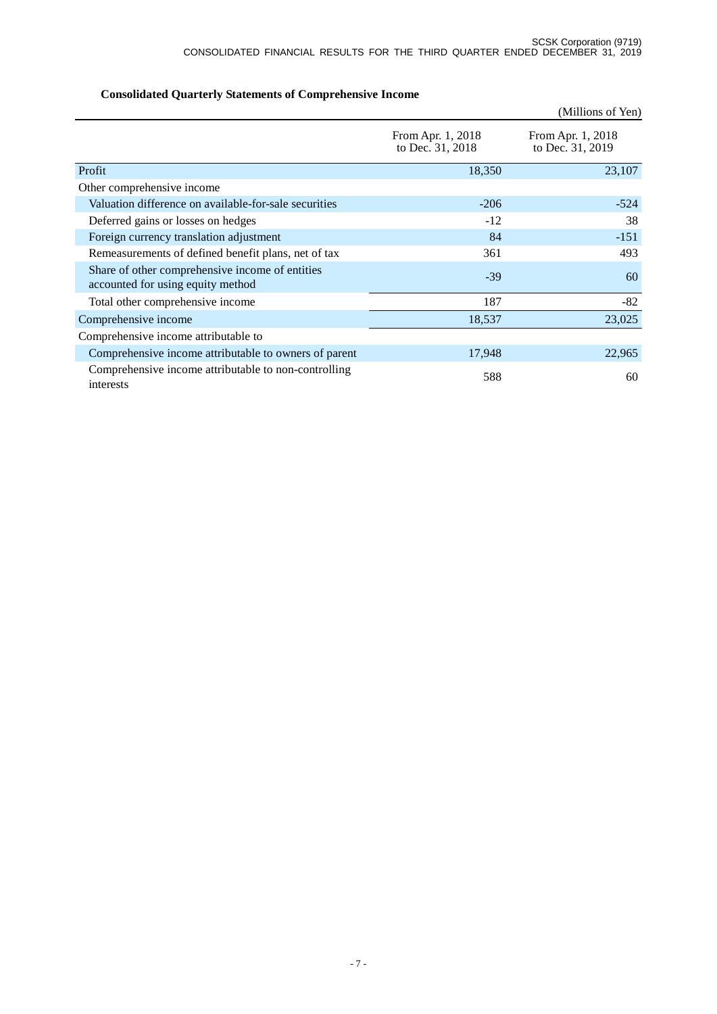|                                                                                      |                                       | (Millions of Yen)                     |
|--------------------------------------------------------------------------------------|---------------------------------------|---------------------------------------|
|                                                                                      | From Apr. 1, 2018<br>to Dec. 31, 2018 | From Apr. 1, 2018<br>to Dec. 31, 2019 |
| Profit                                                                               | 18,350                                | 23,107                                |
| Other comprehensive income                                                           |                                       |                                       |
| Valuation difference on available-for-sale securities                                | $-206$                                | $-524$                                |
| Deferred gains or losses on hedges                                                   | $-12$                                 | 38                                    |
| Foreign currency translation adjustment                                              | 84                                    | $-151$                                |
| Remeasurements of defined benefit plans, net of tax                                  | 361                                   | 493                                   |
| Share of other comprehensive income of entities<br>accounted for using equity method | $-39$                                 | 60                                    |
| Total other comprehensive income                                                     | 187                                   | $-82$                                 |
| Comprehensive income                                                                 | 18,537                                | 23,025                                |
| Comprehensive income attributable to                                                 |                                       |                                       |
| Comprehensive income attributable to owners of parent                                | 17,948                                | 22,965                                |
| Comprehensive income attributable to non-controlling<br>interests                    | 588                                   | 60                                    |

# **Consolidated Quarterly Statements of Comprehensive Income**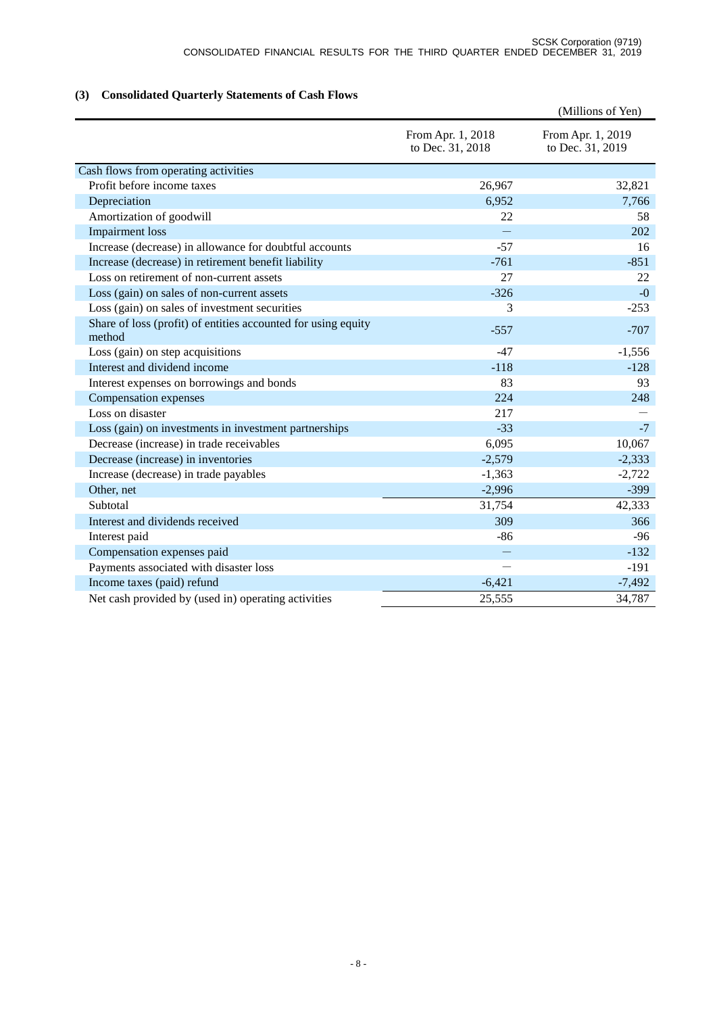# **(3) Consolidated Quarterly Statements of Cash Flows**

|                                                                         |                                       | (Millions of Yen)                     |
|-------------------------------------------------------------------------|---------------------------------------|---------------------------------------|
|                                                                         | From Apr. 1, 2018<br>to Dec. 31, 2018 | From Apr. 1, 2019<br>to Dec. 31, 2019 |
| Cash flows from operating activities                                    |                                       |                                       |
| Profit before income taxes                                              | 26,967                                | 32,821                                |
| Depreciation                                                            | 6,952                                 | 7,766                                 |
| Amortization of goodwill                                                | 22                                    | 58                                    |
| <b>Impairment</b> loss                                                  |                                       | 202                                   |
| Increase (decrease) in allowance for doubtful accounts                  | $-57$                                 | 16                                    |
| Increase (decrease) in retirement benefit liability                     | $-761$                                | $-851$                                |
| Loss on retirement of non-current assets                                | 27                                    | 22                                    |
| Loss (gain) on sales of non-current assets                              | $-326$                                | $-0$                                  |
| Loss (gain) on sales of investment securities                           | 3                                     | $-253$                                |
| Share of loss (profit) of entities accounted for using equity<br>method | $-557$                                | $-707$                                |
| Loss (gain) on step acquisitions                                        | $-47$                                 | $-1,556$                              |
| Interest and dividend income                                            | $-118$                                | $-128$                                |
| Interest expenses on borrowings and bonds                               | 83                                    | 93                                    |
| Compensation expenses                                                   | 224                                   | 248                                   |
| Loss on disaster                                                        | 217                                   |                                       |
| Loss (gain) on investments in investment partnerships                   | $-33$                                 | $-7$                                  |
| Decrease (increase) in trade receivables                                | 6,095                                 | 10,067                                |
| Decrease (increase) in inventories                                      | $-2,579$                              | $-2,333$                              |
| Increase (decrease) in trade payables                                   | $-1,363$                              | $-2,722$                              |
| Other, net                                                              | $-2,996$                              | $-399$                                |
| Subtotal                                                                | 31,754                                | 42,333                                |
| Interest and dividends received                                         | 309                                   | 366                                   |
| Interest paid                                                           | $-86$                                 | $-96$                                 |
| Compensation expenses paid                                              |                                       | $-132$                                |
| Payments associated with disaster loss                                  |                                       | $-191$                                |
| Income taxes (paid) refund                                              | $-6,421$                              | $-7,492$                              |
| Net cash provided by (used in) operating activities                     | 25,555                                | 34,787                                |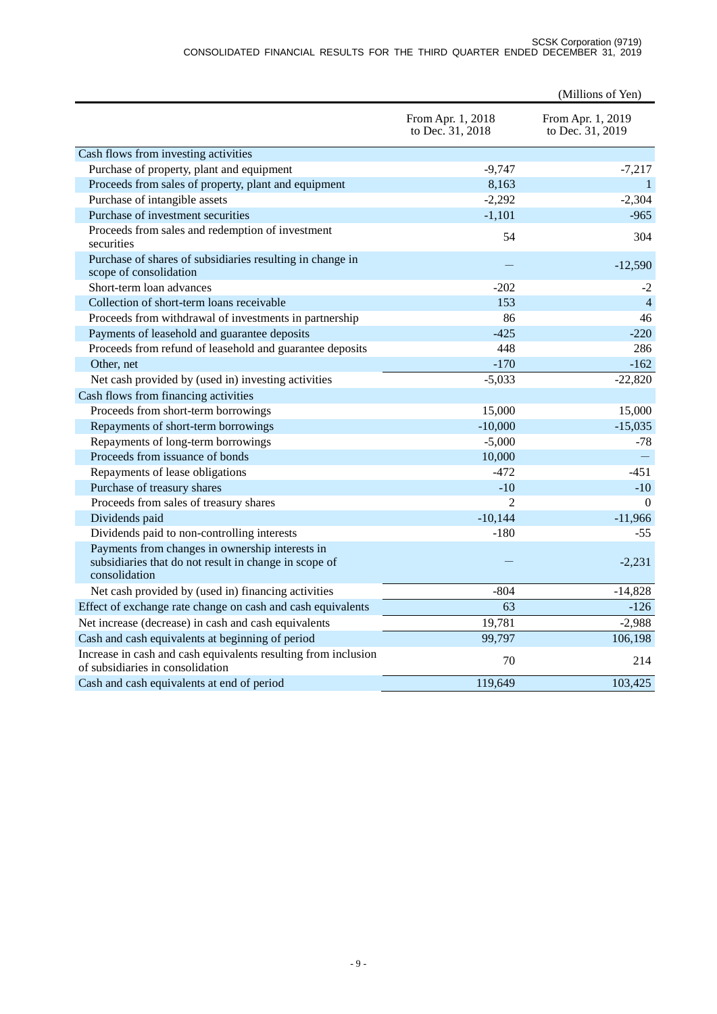#### SCSK Corporation (9719) CONSOLIDATED FINANCIAL RESULTS FOR THE THIRD QUARTER ENDED DECEMBER 31, 2019

|                                                                                                                           |                                       | (Millions of Yen)                     |
|---------------------------------------------------------------------------------------------------------------------------|---------------------------------------|---------------------------------------|
|                                                                                                                           | From Apr. 1, 2018<br>to Dec. 31, 2018 | From Apr. 1, 2019<br>to Dec. 31, 2019 |
| Cash flows from investing activities                                                                                      |                                       |                                       |
| Purchase of property, plant and equipment                                                                                 | $-9,747$                              | $-7,217$                              |
| Proceeds from sales of property, plant and equipment                                                                      | 8,163                                 | $\mathbf{1}$                          |
| Purchase of intangible assets                                                                                             | $-2,292$                              | $-2,304$                              |
| Purchase of investment securities                                                                                         | $-1,101$                              | $-965$                                |
| Proceeds from sales and redemption of investment<br>securities                                                            | 54                                    | 304                                   |
| Purchase of shares of subsidiaries resulting in change in<br>scope of consolidation                                       |                                       | $-12,590$                             |
| Short-term loan advances                                                                                                  | $-202$                                | $-2$                                  |
| Collection of short-term loans receivable                                                                                 | 153                                   | $\overline{4}$                        |
| Proceeds from withdrawal of investments in partnership                                                                    | 86                                    | 46                                    |
| Payments of leasehold and guarantee deposits                                                                              | $-425$                                | $-220$                                |
| Proceeds from refund of leasehold and guarantee deposits                                                                  | 448                                   | 286                                   |
| Other, net                                                                                                                | $-170$                                | $-162$                                |
| Net cash provided by (used in) investing activities                                                                       | $-5,033$                              | $-22,820$                             |
| Cash flows from financing activities                                                                                      |                                       |                                       |
| Proceeds from short-term borrowings                                                                                       | 15,000                                | 15,000                                |
| Repayments of short-term borrowings                                                                                       | $-10,000$                             | $-15,035$                             |
| Repayments of long-term borrowings                                                                                        | $-5,000$                              | $-78$                                 |
| Proceeds from issuance of bonds                                                                                           | 10,000                                |                                       |
| Repayments of lease obligations                                                                                           | $-472$                                | $-451$                                |
| Purchase of treasury shares                                                                                               | $-10$                                 | $-10$                                 |
| Proceeds from sales of treasury shares                                                                                    | $\overline{2}$                        | $\Omega$                              |
| Dividends paid                                                                                                            | $-10,144$                             | $-11,966$                             |
| Dividends paid to non-controlling interests                                                                               | $-180$                                | $-55$                                 |
| Payments from changes in ownership interests in<br>subsidiaries that do not result in change in scope of<br>consolidation |                                       | $-2,231$                              |
| Net cash provided by (used in) financing activities                                                                       | $-804$                                | $-14,828$                             |
| Effect of exchange rate change on cash and cash equivalents                                                               | 63                                    | $-126$                                |
| Net increase (decrease) in cash and cash equivalents                                                                      | 19,781                                | $-2,988$                              |
| Cash and cash equivalents at beginning of period                                                                          | 99,797                                | 106,198                               |
| Increase in cash and cash equivalents resulting from inclusion<br>of subsidiaries in consolidation                        | 70                                    | 214                                   |
| Cash and cash equivalents at end of period                                                                                | 119,649                               | 103,425                               |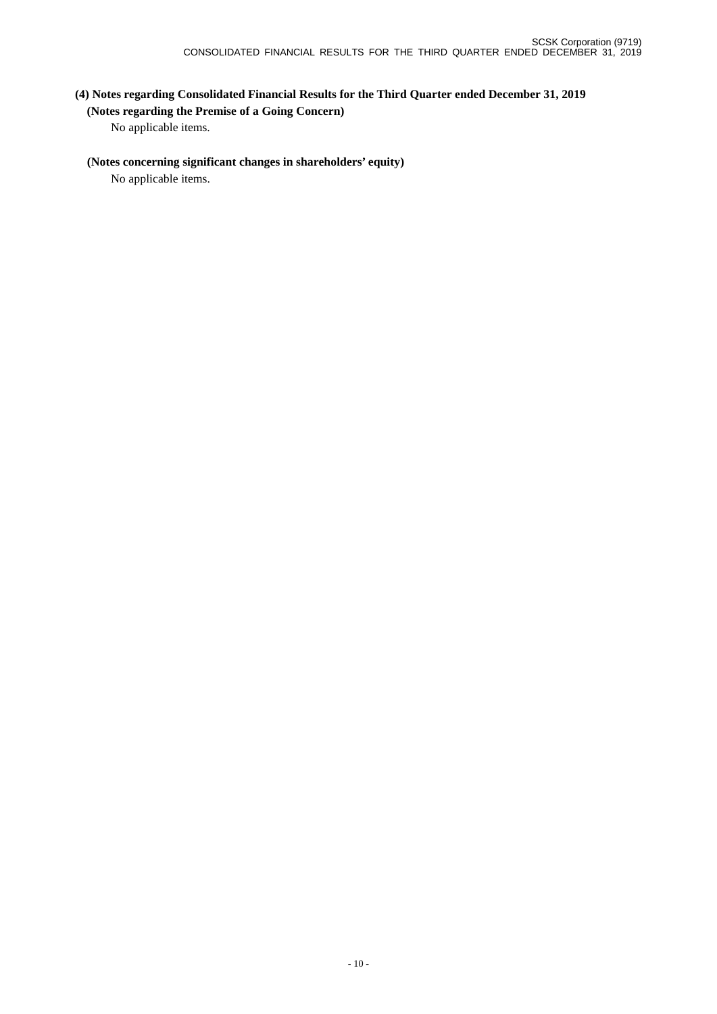# **(4) Notes regarding Consolidated Financial Results for the Third Quarter ended December 31, 2019 (Notes regarding the Premise of a Going Concern)**

No applicable items.

## **(Notes concerning significant changes in shareholders' equity)**

No applicable items.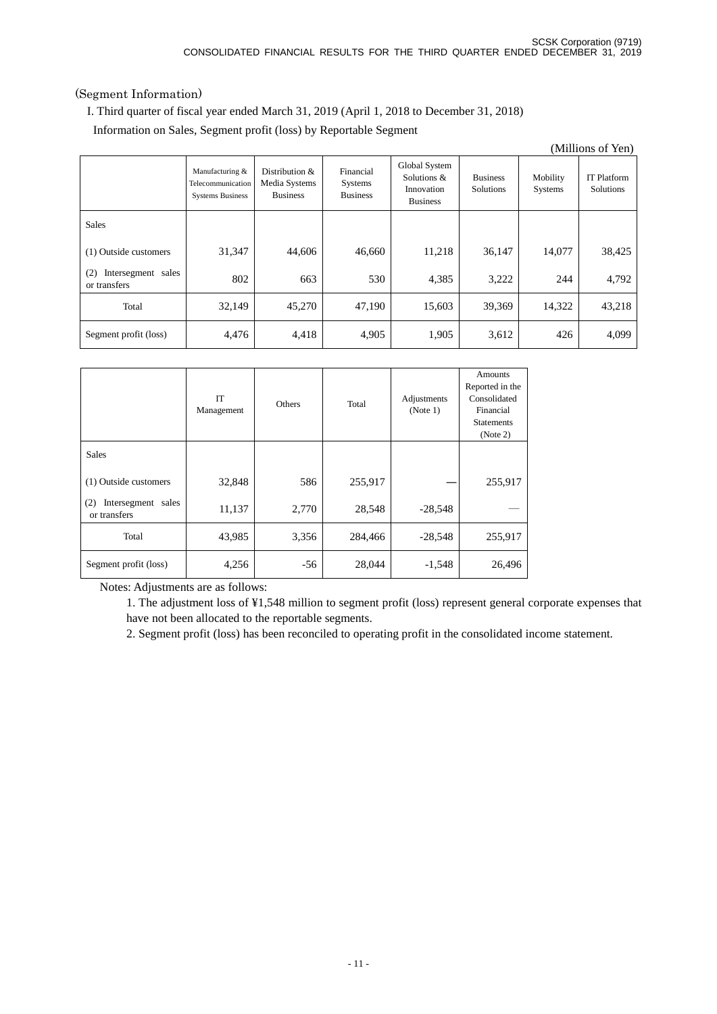## (Segment Information)

I. Third quarter of fiscal year ended March 31, 2019 (April 1, 2018 to December 31, 2018)

Information on Sales, Segment profit (loss) by Reportable Segment

|                                           |                                                                 |                                                    |                                         |                                                               |                                     |                     | (Millions of Yen)               |
|-------------------------------------------|-----------------------------------------------------------------|----------------------------------------------------|-----------------------------------------|---------------------------------------------------------------|-------------------------------------|---------------------|---------------------------------|
|                                           | Manufacturing &<br>Telecommunication<br><b>Systems Business</b> | Distribution &<br>Media Systems<br><b>Business</b> | Financial<br>Systems<br><b>Business</b> | Global System<br>Solutions &<br>Innovation<br><b>Business</b> | <b>Business</b><br><b>Solutions</b> | Mobility<br>Systems | <b>IT Platform</b><br>Solutions |
| <b>Sales</b>                              |                                                                 |                                                    |                                         |                                                               |                                     |                     |                                 |
| (1) Outside customers                     | 31,347                                                          | 44,606                                             | 46,660                                  | 11,218                                                        | 36,147                              | 14,077              | 38,425                          |
| Intersegment sales<br>(2)<br>or transfers | 802                                                             | 663                                                | 530                                     | 4,385                                                         | 3,222                               | 244                 | 4,792                           |
| Total                                     | 32,149                                                          | 45,270                                             | 47,190                                  | 15,603                                                        | 39,369                              | 14,322              | 43,218                          |
| Segment profit (loss)                     | 4,476                                                           | 4,418                                              | 4,905                                   | 1,905                                                         | 3,612                               | 426                 | 4,099                           |

|                                           | IT<br>Management | Others | Total   | Adjustments<br>(Note 1) | Amounts<br>Reported in the<br>Consolidated<br>Financial<br><b>Statements</b><br>(Note 2) |
|-------------------------------------------|------------------|--------|---------|-------------------------|------------------------------------------------------------------------------------------|
| <b>Sales</b>                              |                  |        |         |                         |                                                                                          |
| (1) Outside customers                     | 32,848           | 586    | 255,917 |                         | 255,917                                                                                  |
| Intersegment sales<br>(2)<br>or transfers | 11,137           | 2,770  | 28,548  | $-28,548$               |                                                                                          |
| Total                                     | 43,985           | 3,356  | 284,466 | $-28,548$               | 255,917                                                                                  |
| Segment profit (loss)                     | 4,256            | $-56$  | 28,044  | $-1,548$                | 26,496                                                                                   |

Notes: Adjustments are as follows:

1. The adjustment loss of ¥1,548 million to segment profit (loss) represent general corporate expenses that have not been allocated to the reportable segments.

2. Segment profit (loss) has been reconciled to operating profit in the consolidated income statement.